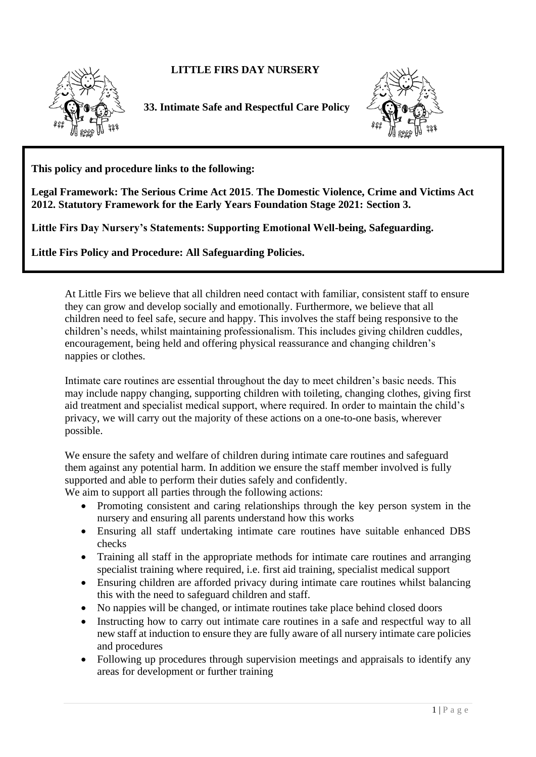## **LITTLE FIRS DAY NURSERY**



 **33. Intimate Safe and Respectful Care Policy**



**This policy and procedure links to the following:** 

**Legal Framework: The Serious Crime Act 2015**. **The Domestic Violence, Crime and Victims Act 2012. Statutory Framework for the Early Years Foundation Stage 2021: Section 3.**

**Little Firs Day Nursery's Statements: Supporting Emotional Well-being, Safeguarding.**

**Little Firs Policy and Procedure: All Safeguarding Policies.**

At Little Firs we believe that all children need contact with familiar, consistent staff to ensure they can grow and develop socially and emotionally. Furthermore, we believe that all children need to feel safe, secure and happy. This involves the staff being responsive to the children's needs, whilst maintaining professionalism. This includes giving children cuddles, encouragement, being held and offering physical reassurance and changing children's nappies or clothes.

Intimate care routines are essential throughout the day to meet children's basic needs. This may include nappy changing, supporting children with toileting, changing clothes, giving first aid treatment and specialist medical support, where required. In order to maintain the child's privacy, we will carry out the majority of these actions on a one-to-one basis, wherever possible.

We ensure the safety and welfare of children during intimate care routines and safeguard them against any potential harm. In addition we ensure the staff member involved is fully supported and able to perform their duties safely and confidently.

We aim to support all parties through the following actions:

- Promoting consistent and caring relationships through the key person system in the nursery and ensuring all parents understand how this works
- Ensuring all staff undertaking intimate care routines have suitable enhanced DBS checks
- Training all staff in the appropriate methods for intimate care routines and arranging specialist training where required, i.e. first aid training, specialist medical support
- Ensuring children are afforded privacy during intimate care routines whilst balancing this with the need to safeguard children and staff.
- No nappies will be changed, or intimate routines take place behind closed doors
- Instructing how to carry out intimate care routines in a safe and respectful way to all new staff at induction to ensure they are fully aware of all nursery intimate care policies and procedures
- Following up procedures through supervision meetings and appraisals to identify any areas for development or further training